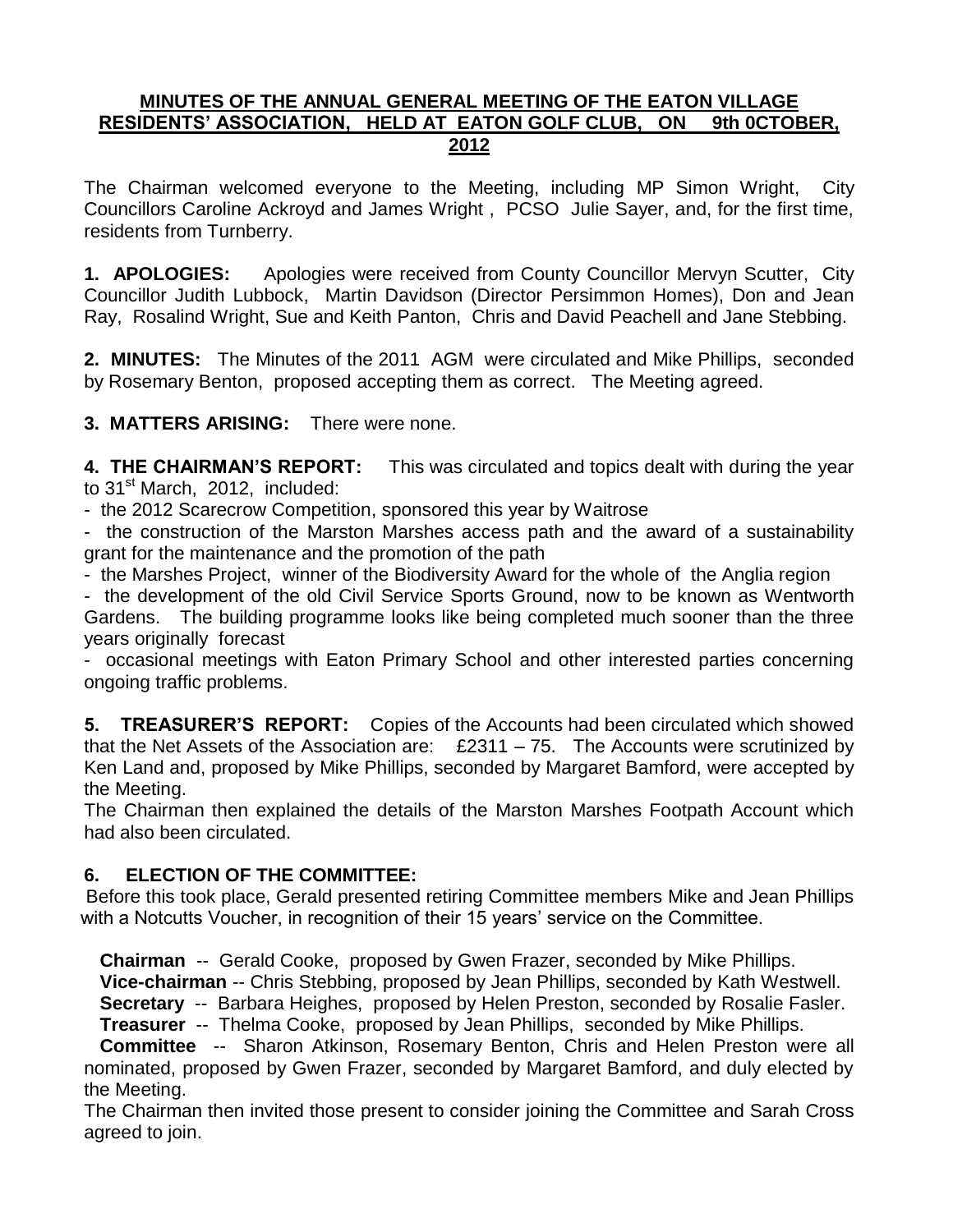## **MINUTES OF THE ANNUAL GENERAL MEETING OF THE EATON VILLAGE RESIDENTS' ASSOCIATION, HELD AT EATON GOLF CLUB, ON 9th 0CTOBER, 2012**

The Chairman welcomed everyone to the Meeting, including MP Simon Wright, City Councillors Caroline Ackroyd and James Wright , PCSO Julie Sayer, and, for the first time, residents from Turnberry.

**1. APOLOGIES:** Apologies were received from County Councillor Mervyn Scutter, City Councillor Judith Lubbock, Martin Davidson (Director Persimmon Homes), Don and Jean Ray, Rosalind Wright, Sue and Keith Panton, Chris and David Peachell and Jane Stebbing.

**2. MINUTES:** The Minutes of the 2011 AGM were circulated and Mike Phillips, seconded by Rosemary Benton, proposed accepting them as correct. The Meeting agreed.

**3. MATTERS ARISING:** There were none.

**4. THE CHAIRMAN'S REPORT:** This was circulated and topics dealt with during the year to 31<sup>st</sup> March, 2012, included:

- the 2012 Scarecrow Competition, sponsored this year by Waitrose

- the construction of the Marston Marshes access path and the award of a sustainability grant for the maintenance and the promotion of the path

- the Marshes Project, winner of the Biodiversity Award for the whole of the Anglia region

- the development of the old Civil Service Sports Ground, now to be known as Wentworth Gardens. The building programme looks like being completed much sooner than the three years originally forecast

- occasional meetings with Eaton Primary School and other interested parties concerning ongoing traffic problems.

**5. TREASURER'S REPORT:** Copies of the Accounts had been circulated which showed that the Net Assets of the Association are:  $£2311 - 75$ . The Accounts were scrutinized by Ken Land and, proposed by Mike Phillips, seconded by Margaret Bamford, were accepted by the Meeting.

The Chairman then explained the details of the Marston Marshes Footpath Account which had also been circulated.

## **6. ELECTION OF THE COMMITTEE:**

Before this took place, Gerald presented retiring Committee members Mike and Jean Phillips with a Notcutts Voucher, in recognition of their 15 years' service on the Committee.

**Chairman** -- Gerald Cooke, proposed by Gwen Frazer, seconded by Mike Phillips.

**Vice-chairman** -- Chris Stebbing, proposed by Jean Phillips, seconded by Kath Westwell.

 **Secretary** -- Barbara Heighes, proposed by Helen Preston, seconded by Rosalie Fasler. **Treasurer** -- Thelma Cooke, proposed by Jean Phillips, seconded by Mike Phillips.

 **Committee** -- Sharon Atkinson, Rosemary Benton, Chris and Helen Preston were all nominated, proposed by Gwen Frazer, seconded by Margaret Bamford, and duly elected by the Meeting.

The Chairman then invited those present to consider joining the Committee and Sarah Cross agreed to join.